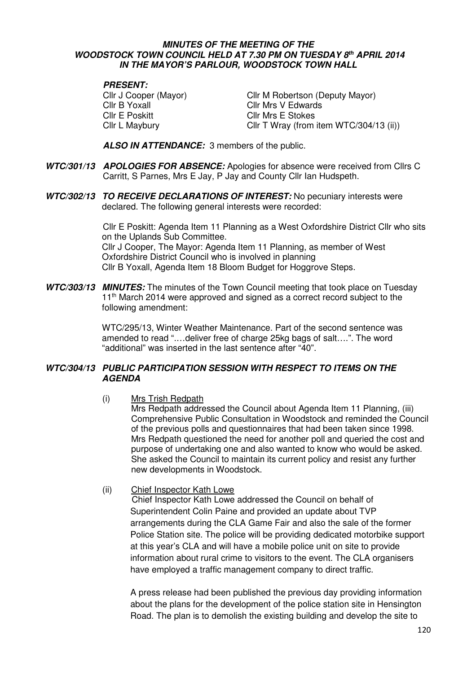### **MINUTES OF THE MEETING OF THE WOODSTOCK TOWN COUNCIL HELD AT 7.30 PM ON TUESDAY 8 th APRIL 2014 IN THE MAYOR'S PARLOUR, WOODSTOCK TOWN HALL**

### **PRESENT:**

Cllr B Yoxall Cllr Mrs V Edwards Cllr E Poskitt Cllr Mrs E Stokes

Cllr J Cooper (Mayor) Cllr M Robertson (Deputy Mayor) Cllr L Maybury Cllr T Wray (from item WTC/304/13 (ii))

 **ALSO IN ATTENDANCE:** 3 members of the public.

- **WTC/301/13 APOLOGIES FOR ABSENCE:** Apologies for absence were received from Cllrs C Carritt, S Parnes, Mrs E Jay, P Jay and County Cllr Ian Hudspeth.
- **WTC/302/13 TO RECEIVE DECLARATIONS OF INTEREST:** No pecuniary interests were declared. The following general interests were recorded:

Cllr E Poskitt: Agenda Item 11 Planning as a West Oxfordshire District Cllr who sits on the Uplands Sub Committee. Cllr J Cooper, The Mayor: Agenda Item 11 Planning, as member of West Oxfordshire District Council who is involved in planning Cllr B Yoxall, Agenda Item 18 Bloom Budget for Hoggrove Steps.

**WTC/303/13 MINUTES:** The minutes of the Town Council meeting that took place on Tuesday 11<sup>th</sup> March 2014 were approved and signed as a correct record subject to the following amendment:

> WTC/295/13, Winter Weather Maintenance. Part of the second sentence was amended to read ".…deliver free of charge 25kg bags of salt….". The word "additional" was inserted in the last sentence after "40".

## **WTC/304/13 PUBLIC PARTICIPATION SESSION WITH RESPECT TO ITEMS ON THE AGENDA**

(i) Mrs Trish Redpath

Mrs Redpath addressed the Council about Agenda Item 11 Planning, (iii) Comprehensive Public Consultation in Woodstock and reminded the Council of the previous polls and questionnaires that had been taken since 1998. Mrs Redpath questioned the need for another poll and queried the cost and purpose of undertaking one and also wanted to know who would be asked. She asked the Council to maintain its current policy and resist any further new developments in Woodstock.

(ii) Chief Inspector Kath Lowe

 Chief Inspector Kath Lowe addressed the Council on behalf of Superintendent Colin Paine and provided an update about TVP arrangements during the CLA Game Fair and also the sale of the former Police Station site. The police will be providing dedicated motorbike support at this year's CLA and will have a mobile police unit on site to provide information about rural crime to visitors to the event. The CLA organisers have employed a traffic management company to direct traffic.

A press release had been published the previous day providing information about the plans for the development of the police station site in Hensington Road. The plan is to demolish the existing building and develop the site to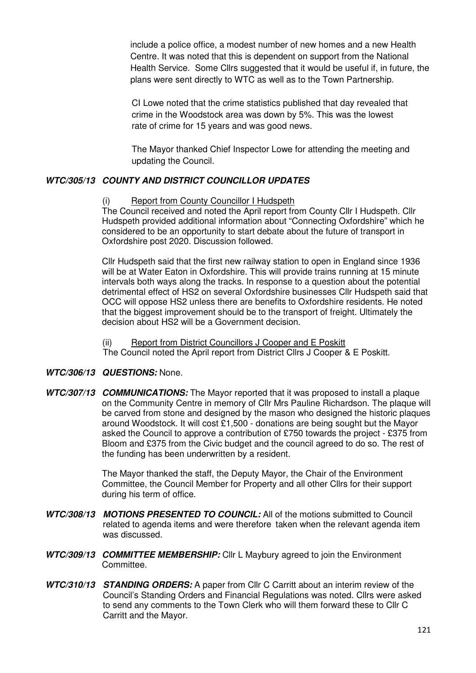include a police office, a modest number of new homes and a new Health Centre. It was noted that this is dependent on support from the National Health Service. Some Cllrs suggested that it would be useful if, in future, the plans were sent directly to WTC as well as to the Town Partnership.

CI Lowe noted that the crime statistics published that day revealed that crime in the Woodstock area was down by 5%. This was the lowest rate of crime for 15 years and was good news.

 The Mayor thanked Chief Inspector Lowe for attending the meeting and updating the Council.

# **WTC/305/13 COUNTY AND DISTRICT COUNCILLOR UPDATES**

(i) Report from County Councillor I Hudspeth

The Council received and noted the April report from County Cllr I Hudspeth. Cllr Hudspeth provided additional information about "Connecting Oxfordshire" which he considered to be an opportunity to start debate about the future of transport in Oxfordshire post 2020. Discussion followed.

Cllr Hudspeth said that the first new railway station to open in England since 1936 will be at Water Eaton in Oxfordshire. This will provide trains running at 15 minute intervals both ways along the tracks. In response to a question about the potential detrimental effect of HS2 on several Oxfordshire businesses Cllr Hudspeth said that OCC will oppose HS2 unless there are benefits to Oxfordshire residents. He noted that the biggest improvement should be to the transport of freight. Ultimately the decision about HS2 will be a Government decision.

(ii) Report from District Councillors J Cooper and E Poskitt The Council noted the April report from District Cllrs J Cooper & E Poskitt.

## **WTC/306/13 QUESTIONS:** None.

**WTC/307/13 COMMUNICATIONS:** The Mayor reported that it was proposed to install a plaque on the Community Centre in memory of Cllr Mrs Pauline Richardson. The plaque will be carved from stone and designed by the mason who designed the historic plaques around Woodstock. It will cost £1,500 - donations are being sought but the Mayor asked the Council to approve a contribution of £750 towards the project - £375 from Bloom and £375 from the Civic budget and the council agreed to do so. The rest of the funding has been underwritten by a resident.

> The Mayor thanked the staff, the Deputy Mayor, the Chair of the Environment Committee, the Council Member for Property and all other Cllrs for their support during his term of office.

- **WTC/308/13 MOTIONS PRESENTED TO COUNCIL:** All of the motions submitted to Council related to agenda items and were therefore taken when the relevant agenda item was discussed.
- **WTC/309/13 COMMITTEE MEMBERSHIP:** Cllr L Maybury agreed to join the Environment Committee.
- **WTC/310/13 STANDING ORDERS:** A paper from Cllr C Carritt about an interim review of the Council's Standing Orders and Financial Regulations was noted. Cllrs were asked to send any comments to the Town Clerk who will them forward these to Cllr C Carritt and the Mayor.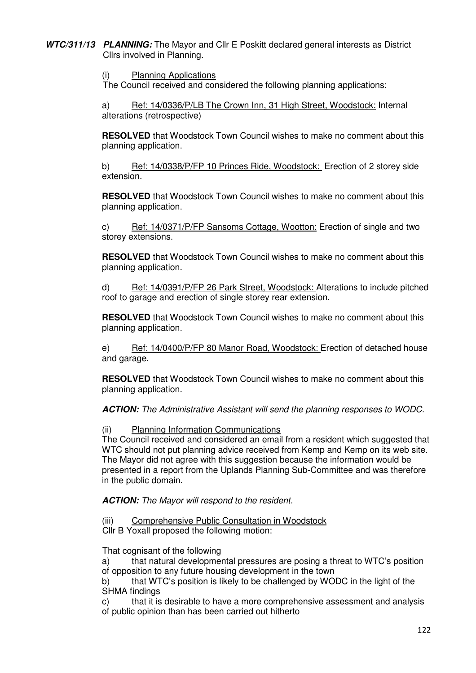**WTC/311/13 PLANNING:** The Mayor and Cllr E Poskitt declared general interests as District Cllrs involved in Planning.

(i) Planning Applications

The Council received and considered the following planning applications:

a) Ref: 14/0336/P/LB The Crown Inn, 31 High Street, Woodstock: Internal alterations (retrospective)

**RESOLVED** that Woodstock Town Council wishes to make no comment about this planning application.

b) Ref: 14/0338/P/FP 10 Princes Ride, Woodstock: Erection of 2 storey side extension.

**RESOLVED** that Woodstock Town Council wishes to make no comment about this planning application.

c) Ref: 14/0371/P/FP Sansoms Cottage, Wootton: Erection of single and two storey extensions.

**RESOLVED** that Woodstock Town Council wishes to make no comment about this planning application.

d) Ref: 14/0391/P/FP 26 Park Street, Woodstock: Alterations to include pitched roof to garage and erection of single storey rear extension.

**RESOLVED** that Woodstock Town Council wishes to make no comment about this planning application.

e) Ref: 14/0400/P/FP 80 Manor Road, Woodstock: Erection of detached house and garage.

**RESOLVED** that Woodstock Town Council wishes to make no comment about this planning application.

**ACTION:** The Administrative Assistant will send the planning responses to WODC.

### (ii) Planning Information Communications

The Council received and considered an email from a resident which suggested that WTC should not put planning advice received from Kemp and Kemp on its web site. The Mayor did not agree with this suggestion because the information would be presented in a report from the Uplands Planning Sub-Committee and was therefore in the public domain.

**ACTION:** The Mayor will respond to the resident.

(iii) Comprehensive Public Consultation in Woodstock

Cllr B Yoxall proposed the following motion:

That cognisant of the following

a) that natural developmental pressures are posing a threat to WTC's position of opposition to any future housing development in the town

b) that WTC's position is likely to be challenged by WODC in the light of the SHMA findings

c) that it is desirable to have a more comprehensive assessment and analysis of public opinion than has been carried out hitherto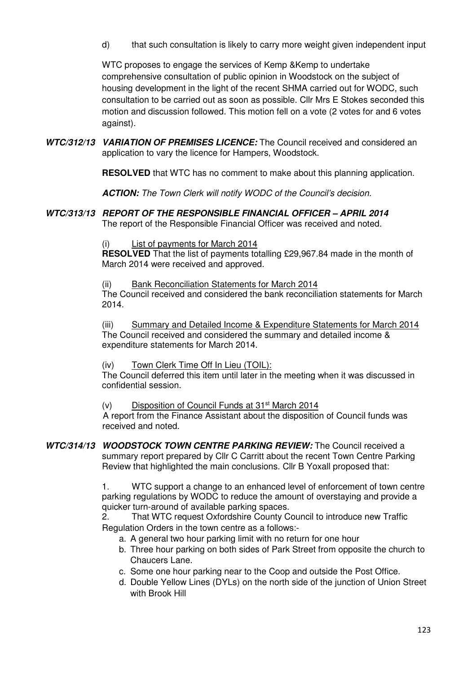d) that such consultation is likely to carry more weight given independent input

WTC proposes to engage the services of Kemp &Kemp to undertake comprehensive consultation of public opinion in Woodstock on the subject of housing development in the light of the recent SHMA carried out for WODC, such consultation to be carried out as soon as possible. Cllr Mrs E Stokes seconded this motion and discussion followed. This motion fell on a vote (2 votes for and 6 votes against).

**WTC/312/13 VARIATION OF PREMISES LICENCE:** The Council received and considered an application to vary the licence for Hampers, Woodstock.

**RESOLVED** that WTC has no comment to make about this planning application.

 **ACTION:** The Town Clerk will notify WODC of the Council's decision.

### **WTC/313/13 REPORT OF THE RESPONSIBLE FINANCIAL OFFICER – APRIL 2014** The report of the Responsible Financial Officer was received and noted.

List of payments for March 2014

**RESOLVED** That the list of payments totalling £29,967.84 made in the month of March 2014 were received and approved.

Bank Reconciliation Statements for March 2014

The Council received and considered the bank reconciliation statements for March 2014.

(iii) Summary and Detailed Income & Expenditure Statements for March 2014 The Council received and considered the summary and detailed income & expenditure statements for March 2014.

(iv) Town Clerk Time Off In Lieu (TOIL):

The Council deferred this item until later in the meeting when it was discussed in confidential session.

(v) Disposition of Council Funds at  $31<sup>st</sup>$  March 2014

 A report from the Finance Assistant about the disposition of Council funds was received and noted.

**WTC/314/13 WOODSTOCK TOWN CENTRE PARKING REVIEW:** The Council received a summary report prepared by Cllr C Carritt about the recent Town Centre Parking Review that highlighted the main conclusions. Cllr B Yoxall proposed that:

> 1. WTC support a change to an enhanced level of enforcement of town centre parking regulations by WODC to reduce the amount of overstaying and provide a quicker turn-around of available parking spaces.

2. That WTC request Oxfordshire County Council to introduce new Traffic Regulation Orders in the town centre as a follows:-

- a. A general two hour parking limit with no return for one hour
- b. Three hour parking on both sides of Park Street from opposite the church to Chaucers Lane.
- c. Some one hour parking near to the Coop and outside the Post Office.
- d. Double Yellow Lines (DYLs) on the north side of the junction of Union Street with Brook Hill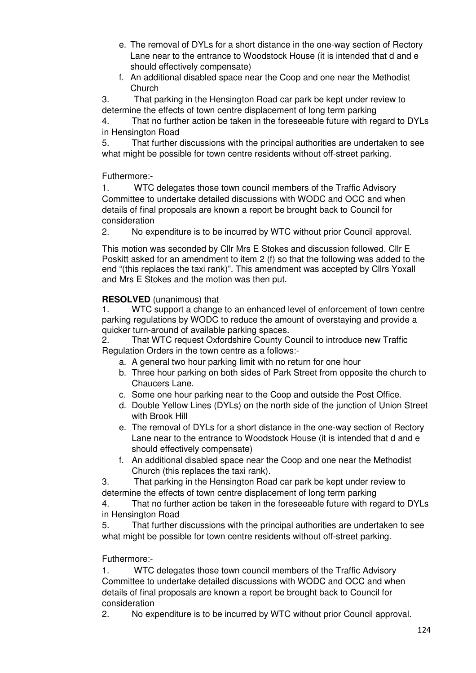- e. The removal of DYLs for a short distance in the one-way section of Rectory Lane near to the entrance to Woodstock House (it is intended that d and e should effectively compensate)
- f. An additional disabled space near the Coop and one near the Methodist Church

3. That parking in the Hensington Road car park be kept under review to determine the effects of town centre displacement of long term parking

4. That no further action be taken in the foreseeable future with regard to DYLs in Hensington Road

5. That further discussions with the principal authorities are undertaken to see what might be possible for town centre residents without off-street parking.

Futhermore:-

1. WTC delegates those town council members of the Traffic Advisory Committee to undertake detailed discussions with WODC and OCC and when details of final proposals are known a report be brought back to Council for consideration

2. No expenditure is to be incurred by WTC without prior Council approval.

 This motion was seconded by Cllr Mrs E Stokes and discussion followed. Cllr E Poskitt asked for an amendment to item 2 (f) so that the following was added to the end "(this replaces the taxi rank)". This amendment was accepted by Cllrs Yoxall and Mrs E Stokes and the motion was then put.

## **RESOLVED** (unanimous) that

1. WTC support a change to an enhanced level of enforcement of town centre parking regulations by WODC to reduce the amount of overstaying and provide a quicker turn-around of available parking spaces.

2. That WTC request Oxfordshire County Council to introduce new Traffic Regulation Orders in the town centre as a follows:-

- a. A general two hour parking limit with no return for one hour
- b. Three hour parking on both sides of Park Street from opposite the church to Chaucers Lane.
- c. Some one hour parking near to the Coop and outside the Post Office.
- d. Double Yellow Lines (DYLs) on the north side of the junction of Union Street with Brook Hill
- e. The removal of DYLs for a short distance in the one-way section of Rectory Lane near to the entrance to Woodstock House (it is intended that d and e should effectively compensate)
- f. An additional disabled space near the Coop and one near the Methodist Church (this replaces the taxi rank).

3. That parking in the Hensington Road car park be kept under review to determine the effects of town centre displacement of long term parking

4. That no further action be taken in the foreseeable future with regard to DYLs in Hensington Road

5. That further discussions with the principal authorities are undertaken to see what might be possible for town centre residents without off-street parking.

## Futhermore:-

1. WTC delegates those town council members of the Traffic Advisory Committee to undertake detailed discussions with WODC and OCC and when details of final proposals are known a report be brought back to Council for consideration

2. No expenditure is to be incurred by WTC without prior Council approval.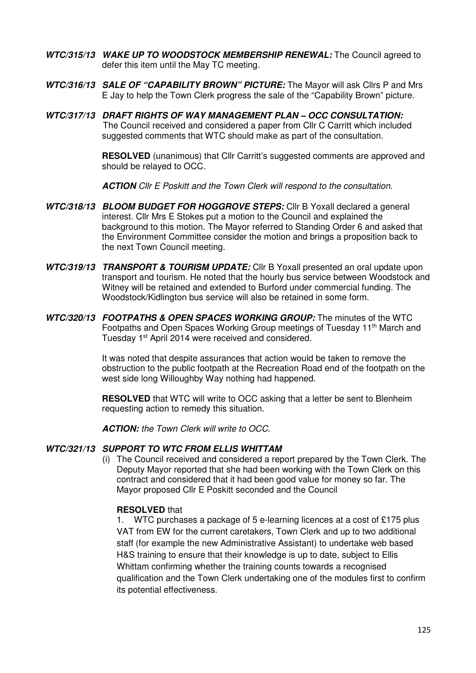- **WTC/315/13 WAKE UP TO WOODSTOCK MEMBERSHIP RENEWAL:** The Council agreed to defer this item until the May TC meeting.
- **WTC/316/13 SALE OF "CAPABILITY BROWN" PICTURE:** The Mayor will ask Cllrs P and Mrs E Jay to help the Town Clerk progress the sale of the "Capability Brown" picture.
- **WTC/317/13 DRAFT RIGHTS OF WAY MANAGEMENT PLAN OCC CONSULTATION:**  The Council received and considered a paper from Cllr C Carritt which included suggested comments that WTC should make as part of the consultation.

**RESOLVED** (unanimous) that Cllr Carritt's suggested comments are approved and should be relayed to OCC.

**ACTION** Cllr E Poskitt and the Town Clerk will respond to the consultation.

- **WTC/318/13 BLOOM BUDGET FOR HOGGROVE STEPS:** Cllr B Yoxall declared a general interest. Cllr Mrs E Stokes put a motion to the Council and explained the background to this motion. The Mayor referred to Standing Order 6 and asked that the Environment Committee consider the motion and brings a proposition back to the next Town Council meeting.
- **WTC/319/13 TRANSPORT & TOURISM UPDATE:** Cllr B Yoxall presented an oral update upon transport and tourism. He noted that the hourly bus service between Woodstock and Witney will be retained and extended to Burford under commercial funding. The Woodstock/Kidlington bus service will also be retained in some form.
- **WTC/320/13 FOOTPATHS & OPEN SPACES WORKING GROUP:** The minutes of the WTC Footpaths and Open Spaces Working Group meetings of Tuesday 11th March and Tuesday 1st April 2014 were received and considered.

 It was noted that despite assurances that action would be taken to remove the obstruction to the public footpath at the Recreation Road end of the footpath on the west side long Willoughby Way nothing had happened.

**RESOLVED** that WTC will write to OCC asking that a letter be sent to Blenheim requesting action to remedy this situation.

**ACTION:** the Town Clerk will write to OCC.

### **WTC/321/13 SUPPORT TO WTC FROM ELLIS WHITTAM**

(i) The Council received and considered a report prepared by the Town Clerk. The Deputy Mayor reported that she had been working with the Town Clerk on this contract and considered that it had been good value for money so far. The Mayor proposed Cllr E Poskitt seconded and the Council

### **RESOLVED** that

1. WTC purchases a package of 5 e-learning licences at a cost of £175 plus VAT from EW for the current caretakers, Town Clerk and up to two additional staff (for example the new Administrative Assistant) to undertake web based H&S training to ensure that their knowledge is up to date, subject to Ellis Whittam confirming whether the training counts towards a recognised qualification and the Town Clerk undertaking one of the modules first to confirm its potential effectiveness.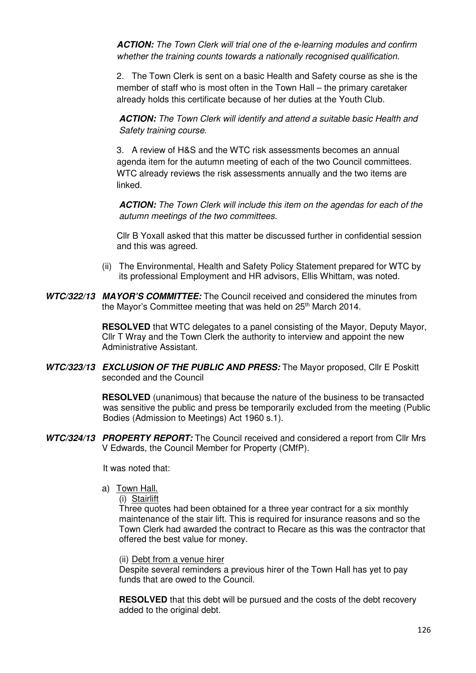**ACTION:** The Town Clerk will trial one of the e-learning modules and confirm whether the training counts towards a nationally recognised qualification.

2. The Town Clerk is sent on a basic Health and Safety course as she is the member of staff who is most often in the Town Hall – the primary caretaker already holds this certificate because of her duties at the Youth Club.

**ACTION:** The Town Clerk will identify and attend a suitable basic Health and Safety training course.

3. A review of H&S and the WTC risk assessments becomes an annual agenda item for the autumn meeting of each of the two Council committees. WTC already reviews the risk assessments annually and the two items are linked.

**ACTION:** The Town Clerk will include this item on the agendas for each of the autumn meetings of the two committees.

Cllr B Yoxall asked that this matter be discussed further in confidential session and this was agreed.

- (ii) The Environmental, Health and Safety Policy Statement prepared for WTC by its professional Employment and HR advisors, Ellis Whittam, was noted.
- **WTC/322/13 MAYOR'S COMMITTEE:** The Council received and considered the minutes from the Mayor's Committee meeting that was held on 25<sup>th</sup> March 2014.

**RESOLVED** that WTC delegates to a panel consisting of the Mayor, Deputy Mayor, Cllr T Wray and the Town Clerk the authority to interview and appoint the new Administrative Assistant.

**WTC/323/13 EXCLUSION OF THE PUBLIC AND PRESS:** The Mayor proposed, Cllr E Poskitt seconded and the Council

> **RESOLVED** (unanimous) that because the nature of the business to be transacted was sensitive the public and press be temporarily excluded from the meeting (Public Bodies (Admission to Meetings) Act 1960 s.1).

**WTC/324/13 PROPERTY REPORT:** The Council received and considered a report from Cllr Mrs V Edwards, the Council Member for Property (CMfP).

It was noted that:

a) Town Hall.

(i) Stairlift

Three quotes had been obtained for a three year contract for a six monthly maintenance of the stair lift. This is required for insurance reasons and so the Town Clerk had awarded the contract to Recare as this was the contractor that offered the best value for money.

(ii) Debt from a venue hirer

Despite several reminders a previous hirer of the Town Hall has yet to pay funds that are owed to the Council.

**RESOLVED** that this debt will be pursued and the costs of the debt recovery added to the original debt.